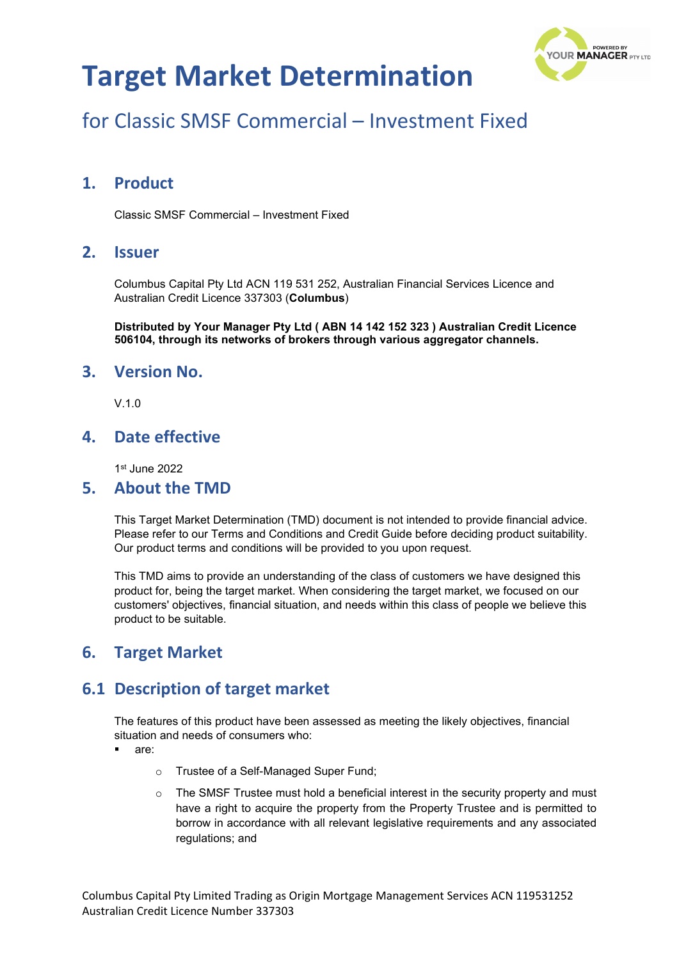

# for Classic SMSF Commercial – Investment Fixed

### **1. Product**

Classic SMSF Commercial – Investment Fixed

#### **2. Issuer**

Columbus Capital Pty Ltd ACN 119 531 252, Australian Financial Services Licence and Australian Credit Licence 337303 (**Columbus**)

**Distributed by Your Manager Pty Ltd ( ABN 14 142 152 323 ) Australian Credit Licence 506104, through its networks of brokers through various aggregator channels.**

#### **3. Version No.**

V.1.0

### **4. Date effective**

1st June 2022

#### **5. About the TMD**

This Target Market Determination (TMD) document is not intended to provide financial advice. Please refer to our Terms and Conditions and Credit Guide before deciding product suitability. Our product terms and conditions will be provided to you upon request.

This TMD aims to provide an understanding of the class of customers we have designed this product for, being the target market. When considering the target market, we focused on our customers' objectives, financial situation, and needs within this class of people we believe this product to be suitable.

### **6. Target Market**

### **6.1 Description of target market**

The features of this product have been assessed as meeting the likely objectives, financial situation and needs of consumers who:

- are:
	- o Trustee of a Self-Managed Super Fund;
	- $\circ$  The SMSF Trustee must hold a beneficial interest in the security property and must have a right to acquire the property from the Property Trustee and is permitted to borrow in accordance with all relevant legislative requirements and any associated regulations; and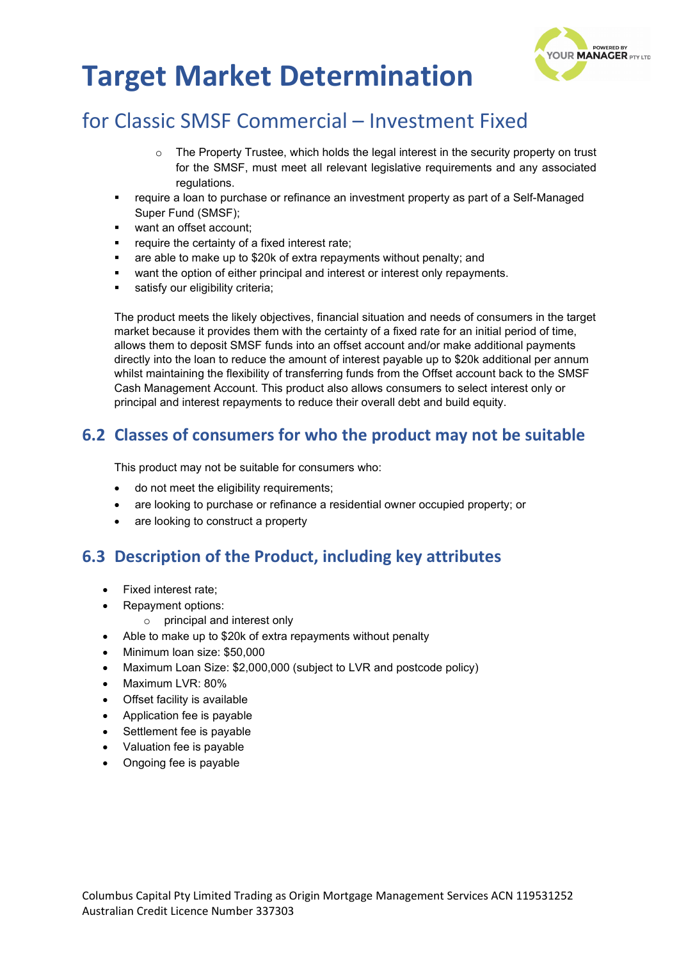

# for Classic SMSF Commercial – Investment Fixed

- $\circ$  The Property Trustee, which holds the legal interest in the security property on trust for the SMSF, must meet all relevant legislative requirements and any associated regulations.
- require a loan to purchase or refinance an investment property as part of a Self-Managed Super Fund (SMSF);
- want an offset account;
- require the certainty of a fixed interest rate;
- are able to make up to \$20k of extra repayments without penalty; and
- want the option of either principal and interest or interest only repayments.
- satisfy our eligibility criteria;

The product meets the likely objectives, financial situation and needs of consumers in the target market because it provides them with the certainty of a fixed rate for an initial period of time, allows them to deposit SMSF funds into an offset account and/or make additional payments directly into the loan to reduce the amount of interest payable up to \$20k additional per annum whilst maintaining the flexibility of transferring funds from the Offset account back to the SMSF Cash Management Account. This product also allows consumers to select interest only or principal and interest repayments to reduce their overall debt and build equity.

## **6.2 Classes of consumers for who the product may not be suitable**

This product may not be suitable for consumers who:

- do not meet the eligibility requirements;
- are looking to purchase or refinance a residential owner occupied property; or
- are looking to construct a property

### **6.3 Description of the Product, including key attributes**

- Fixed interest rate;
- Repayment options:
	- o principal and interest only
- Able to make up to \$20k of extra repayments without penalty
- Minimum loan size: \$50,000
- Maximum Loan Size: \$2,000,000 (subject to LVR and postcode policy)
- Maximum LVR: 80%
- Offset facility is available
- Application fee is payable
- Settlement fee is payable
- Valuation fee is payable
- Ongoing fee is payable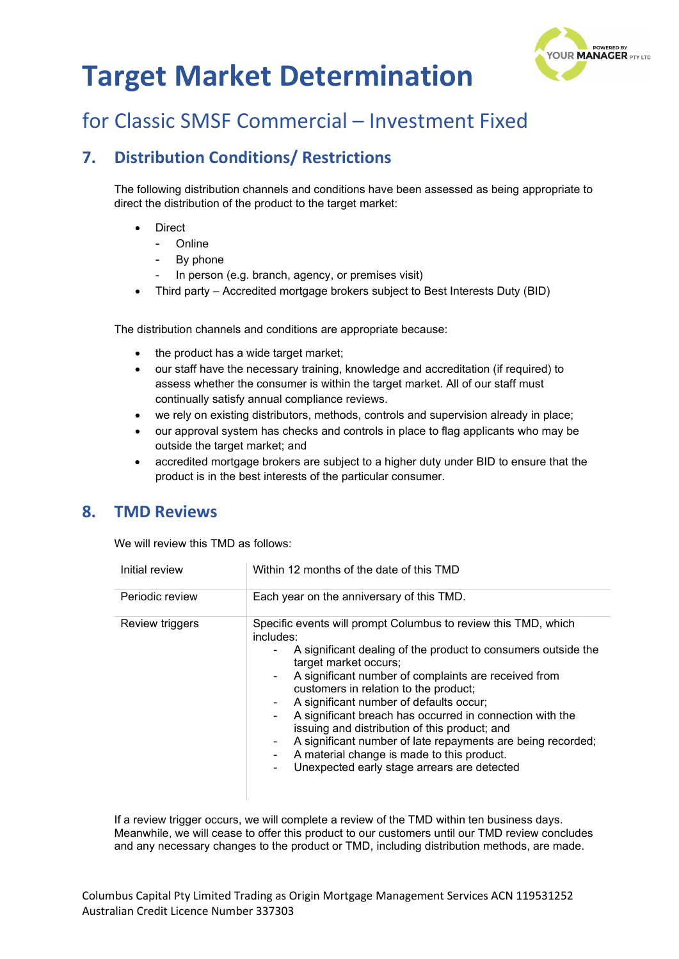

# for Classic SMSF Commercial – Investment Fixed

## **7. Distribution Conditions/ Restrictions**

The following distribution channels and conditions have been assessed as being appropriate to direct the distribution of the product to the target market:

- **Direct** 
	- **Online**
	- By phone
	- In person (e.g. branch, agency, or premises visit)
- Third party Accredited mortgage brokers subject to Best Interests Duty (BID)

The distribution channels and conditions are appropriate because:

- the product has a wide target market;
- our staff have the necessary training, knowledge and accreditation (if required) to assess whether the consumer is within the target market. All of our staff must continually satisfy annual compliance reviews.
- we rely on existing distributors, methods, controls and supervision already in place;
- our approval system has checks and controls in place to flag applicants who may be outside the target market; and
- accredited mortgage brokers are subject to a higher duty under BID to ensure that the product is in the best interests of the particular consumer.

### **8. TMD Reviews**

We will review this TMD as follows:

| Initial review  | Within 12 months of the date of this TMD                                                                                                                                                                                                                                                                                                                                                                                                                                                                                                                                                                                                |
|-----------------|-----------------------------------------------------------------------------------------------------------------------------------------------------------------------------------------------------------------------------------------------------------------------------------------------------------------------------------------------------------------------------------------------------------------------------------------------------------------------------------------------------------------------------------------------------------------------------------------------------------------------------------------|
| Periodic review | Each year on the anniversary of this TMD.                                                                                                                                                                                                                                                                                                                                                                                                                                                                                                                                                                                               |
| Review triggers | Specific events will prompt Columbus to review this TMD, which<br>includes:<br>A significant dealing of the product to consumers outside the<br>۰.<br>target market occurs;<br>A significant number of complaints are received from<br>$\sim$<br>customers in relation to the product;<br>A significant number of defaults occur;<br>۰<br>A significant breach has occurred in connection with the<br>$\blacksquare$<br>issuing and distribution of this product; and<br>A significant number of late repayments are being recorded;<br>A material change is made to this product.<br>Unexpected early stage arrears are detected<br>۰. |

If a review trigger occurs, we will complete a review of the TMD within ten business days. Meanwhile, we will cease to offer this product to our customers until our TMD review concludes and any necessary changes to the product or TMD, including distribution methods, are made.